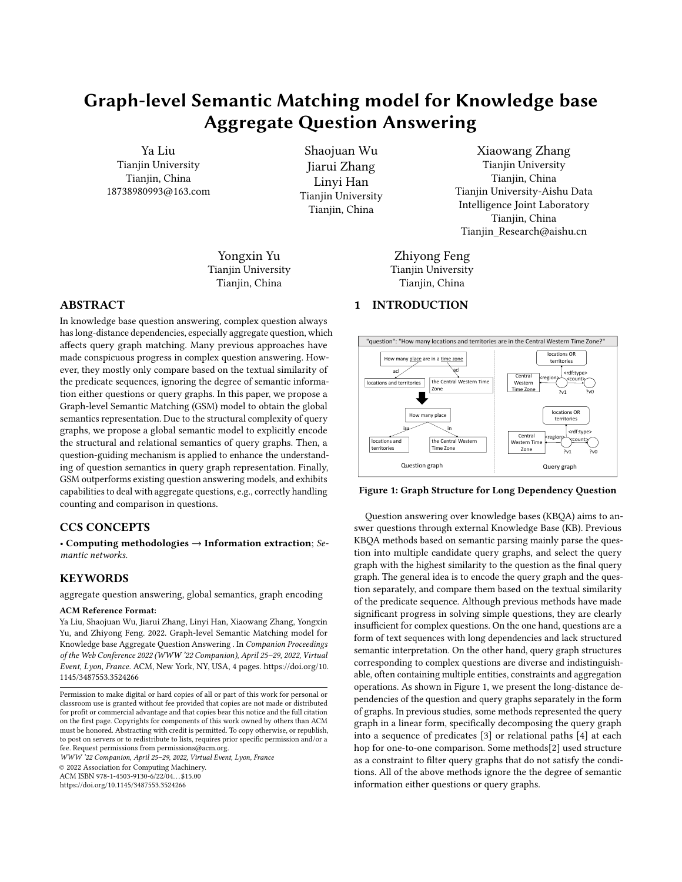# Graph-level Semantic Matching model for Knowledge base Aggregate Question Answering

Ya Liu Tianjin University Tianjin, China 18738980993@163.com

Shaojuan Wu Jiarui Zhang Linyi Han Tianjin University Tianjin, China

Yongxin Yu Tianjin University Tianjin, China

# ABSTRACT

In knowledge base question answering, complex question always has long-distance dependencies, especially aggregate question, which affects query graph matching. Many previous approaches have made conspicuous progress in complex question answering. However, they mostly only compare based on the textual similarity of the predicate sequences, ignoring the degree of semantic information either questions or query graphs. In this paper, we propose a Graph-level Semantic Matching (GSM) model to obtain the global semantics representation. Due to the structural complexity of query graphs, we propose a global semantic model to explicitly encode the structural and relational semantics of query graphs. Then, a question-guiding mechanism is applied to enhance the understanding of question semantics in query graph representation. Finally, GSM outperforms existing question answering models, and exhibits capabilities to deal with aggregate questions, e.g., correctly handling counting and comparison in questions.

# CCS CONCEPTS

• Computing methodologies  $\rightarrow$  Information extraction; Semantic networks.

### **KEYWORDS**

aggregate question answering, global semantics, graph encoding

### ACM Reference Format:

Ya Liu, Shaojuan Wu, Jiarui Zhang, Linyi Han, Xiaowang Zhang, Yongxin Yu, and Zhiyong Feng. 2022. Graph-level Semantic Matching model for Knowledge base Aggregate Question Answering . In Companion Proceedings of the Web Conference 2022 (WWW '22 Companion), April 25–29, 2022, Virtual Event, Lyon, France. ACM, New York, NY, USA, [4](#page-3-0) pages. [https://doi.org/10.](https://doi.org/10.1145/3487553.3524266) [1145/3487553.3524266](https://doi.org/10.1145/3487553.3524266)

WWW '22 Companion, April 25–29, 2022, Virtual Event, Lyon, France

© 2022 Association for Computing Machinery.

ACM ISBN 978-1-4503-9130-6/22/04. . . \$15.00

<https://doi.org/10.1145/3487553.3524266>

<span id="page-0-0"></span>"question": "How many locations and territories are in the Central Western Time Zone?" How many place are in a time zone locations and territories the Central Western Time  $\overline{\text{Time} \text{ zone}}$   $\overline{\text{?v1}}$   $\overline{\text{?v0}}$ acl acl How many place determined the contract of the contract of the contract of the contract of the contract of the contract of the contract of the contract of the contract of the contract of the contract of the contract of the  $\lvert$  locations and  $\lvert$  the Central Western  $\lvert$   $\lvert$  Western Time  $\lvert$  to  $\lvert$   $\lvert$   $\lvert$   $\lvert$   $\lvert$   $\lvert$   $\lvert$   $\lvert$   $\lvert$   $\lvert$   $\lvert$   $\lvert$   $\lvert$   $\lvert$   $\lvert$   $\lvert$   $\lvert$   $\lvert$   $\lvert$   $\lvert$   $\lvert$   $\lvert$   $\lvert$   $\l$ territories Time Zone  $\overline{\phantom{a}}$  Time Zone  $\overline{\phantom{a}}$  Zone  $\overline{\phantom{a}}$   $\overline{\phantom{a}}$ Time Zone isa in the contract of the contract of the contract of the contract of the contract of the contract of the contract of the contract of the contract of the contract of the contract of the contract of the contract of the con Question graph Query graph Central creation Western  $\begin{pmatrix} 0 & \cdots & 0 \\ 0 & \cdots & 0 \end{pmatrix}$  $\frac{1}{2}$  Time Zone  $\frac{1}{2}$   $\frac{1}{2}$   $\frac{1}{2}$   $\frac{1}{2}$   $\frac{1}{2}$   $\frac{1}{2}$   $\frac{1}{2}$   $\frac{1}{2}$   $\frac{1}{2}$   $\frac{1}{2}$   $\frac{1}{2}$   $\frac{1}{2}$   $\frac{1}{2}$   $\frac{1}{2}$   $\frac{1}{2}$   $\frac{1}{2}$   $\frac{1}{2}$   $\frac{1}{2}$   $\frac{1}{2}$   $\frac{1}{2}$  locations OR **CONTINUES IN THE SECOND CONTINUES IN THE SECOND CONTINUES.** territories ?v1 <rdf:type> <region> ?v0  $\longleftarrow$ Central cregion crdf:type> Western Time  $\leftarrow$   $\leftarrow$   $\leftarrow$   $\leftarrow$   $\leftarrow$   $\leftarrow$   $\leftarrow$   $\leftarrow$   $\leftarrow$   $\leftarrow$   $\leftarrow$   $\leftarrow$   $\leftarrow$   $\leftarrow$   $\leftarrow$   $\leftarrow$   $\leftarrow$   $\leftarrow$   $\leftarrow$   $\leftarrow$   $\leftarrow$   $\leftarrow$   $\leftarrow$   $\leftarrow$   $\leftarrow$   $\leftarrow$   $\leftarrow$   $\leftarrow$   $\leftarrow$   $\leftarrow$   $\leftarrow$   $\leftarrow$   $\leftarrow$   $\leftarrow$   $\leftarrow$ Zone  $\overline{\phantom{a}}$   $\overline{\phantom{a}}$   $\overline{\phantom{a}}$   $\overline{\phantom{a}}$   $\overline{\phantom{a}}$   $\overline{\phantom{a}}$   $\overline{\phantom{a}}$   $\overline{\phantom{a}}$   $\overline{\phantom{a}}$   $\overline{\phantom{a}}$   $\overline{\phantom{a}}$   $\overline{\phantom{a}}$   $\overline{\phantom{a}}$   $\overline{\phantom{a}}$   $\overline{\phantom{a}}$   $\overline{\phantom{a}}$   $\overline{\phantom{a}}$   $\overline{\phantom{a}}$  locations OR territories and the contract of the contract of the contract of the contract of the contract of the contract of the contract of the contract of the contract of the contract of the contract of the contract of the contract o ?v1 <rdf:type> kregion> requestration and the set of the set of the set of the set of the set of the set of the set of the set of the set of the set of the set of the set of the set of the set of the set of the set of the set of the set ?v0  $\longleftarrow$   $\longleftarrow$   $\longleftarrow$   $\longleftarrow$   $\longleftarrow$   $\longleftarrow$   $\longleftarrow$   $\longleftarrow$   $\longleftarrow$   $\longleftarrow$   $\longleftarrow$   $\longleftarrow$   $\longleftarrow$   $\longleftarrow$   $\longleftarrow$   $\longleftarrow$   $\longleftarrow$   $\longleftarrow$   $\longleftarrow$   $\longleftarrow$   $\longleftarrow$   $\longleftarrow$   $\longleftarrow$   $\longleftarrow$   $\longleftarrow$   $\longleftarrow$   $\longleftarrow$   $\longleftarrow$   $\longleftarrow$   $\longleftarrow$   $\longleftarrow$   $\longleft$ 

### Figure 1: Graph Structure for Long Dependency Question

Question answering over knowledge bases (KBQA) aims to answer questions through external Knowledge Base (KB). Previous KBQA methods based on semantic parsing mainly parse the question into multiple candidate query graphs, and select the query graph with the highest similarity to the question as the final query graph. The general idea is to encode the query graph and the question separately, and compare them based on the textual similarity of the predicate sequence. Although previous methods have made significant progress in solving simple questions, they are clearly insufficient for complex questions. On the one hand, questions are a form of text sequences with long dependencies and lack structured semantic interpretation. On the other hand, query graph structures corresponding to complex questions are diverse and indistinguishable, often containing multiple entities, constraints and aggregation operations. As shown in Figure [1,](#page-0-0) we present the long-distance dependencies of the question and query graphs separately in the form of graphs. In previous studies, some methods represented the query graph in a linear form, specifically decomposing the query graph into a sequence of predicates [\[3\]](#page-3-1) or relational paths [\[4\]](#page-3-2) at each hop for one-to-one comparison. Some methods[\[2\]](#page-3-3) used structure as a constraint to filter query graphs that do not satisfy the conditions. All of the above methods ignore the the degree of semantic information either questions or query graphs.

Xiaowang Zhang Tianjin University Tianjin, China Tianjin University-Aishu Data Intelligence Joint Laboratory Tianjin, China Tianjin\_Research@aishu.cn

Zhiyong Feng Tianjin University Tianjin, China

# 1 INTRODUCTION

Permission to make digital or hard copies of all or part of this work for personal or classroom use is granted without fee provided that copies are not made or distributed for profit or commercial advantage and that copies bear this notice and the full citation on the first page. Copyrights for components of this work owned by others than ACM must be honored. Abstracting with credit is permitted. To copy otherwise, or republish, to post on servers or to redistribute to lists, requires prior specific permission and/or a fee. Request permissions from permissions@acm.org.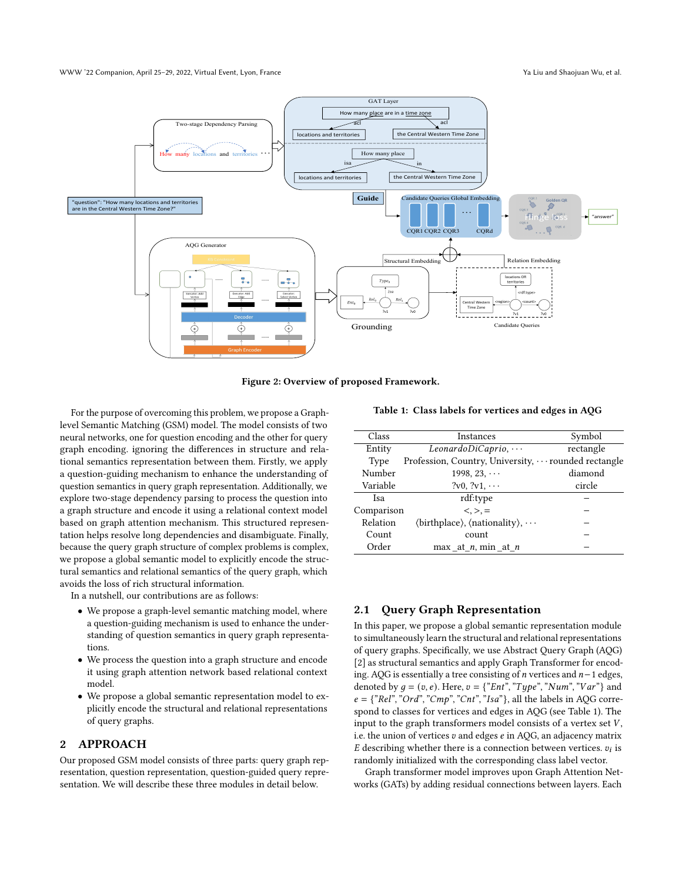### WWW '22 Companion, April 25–29, 2022, Virtual Event, Lyon, France Ya Liu and Shaojuan Wu, et al.



Figure 2: Overview of proposed Framework.

For the purpose of overcoming this problem, we propose a Graphlevel Semantic Matching (GSM) model. The model consists of two neural networks, one for question encoding and the other for query graph encoding. ignoring the differences in structure and relational semantics representation between them. Firstly, we apply a question-guiding mechanism to enhance the understanding of question semantics in query graph representation. Additionally, we explore two-stage dependency parsing to process the question into a graph structure and encode it using a relational context model based on graph attention mechanism. This structured representation helps resolve long dependencies and disambiguate. Finally, because the query graph structure of complex problems is complex, we propose a global semantic model to explicitly encode the structural semantics and relational semantics of the query graph, which avoids the loss of rich structural information.

In a nutshell, our contributions are as follows:

- We propose a graph-level semantic matching model, where a question-guiding mechanism is used to enhance the understanding of question semantics in query graph representations.
- We process the question into a graph structure and encode it using graph attention network based relational context model.
- We propose a global semantic representation model to explicitly encode the structural and relational representations of query graphs.

# 2 APPROACH

Our proposed GSM model consists of three parts: query graph representation, question representation, question-guided query representation. We will describe these three modules in detail below.

<span id="page-1-0"></span>Table 1: Class labels for vertices and edges in AQG

| Class       | Instances                                                                   | Symbol    |  |
|-------------|-----------------------------------------------------------------------------|-----------|--|
| Entity      | $LeonardoDiCaprio, \cdots$                                                  | rectangle |  |
| <b>Type</b> | Profession, Country, University,  rounded rectangle                         |           |  |
| Number      | $1998, 23, \cdots$                                                          | diamond   |  |
| Variable    | $?v0, ?v1, \cdots$                                                          | circle    |  |
| Isa         | rdf:type                                                                    |           |  |
| Comparison  | $\langle . \rangle =$                                                       |           |  |
| Relation    | $\langle$ birthplace $\rangle$ , $\langle$ nationality $\rangle$ , $\cdots$ |           |  |
| Count       | count                                                                       |           |  |
| Order       | max at $n$ , min at $n$                                                     |           |  |

## 2.1 Query Graph Representation

In this paper, we propose a global semantic representation module to simultaneously learn the structural and relational representations of query graphs. Specifically, we use Abstract Query Graph (AQG) [\[2\]](#page-3-3) as structural semantics and apply Graph Transformer for encoding. AQG is essentially a tree consisting of  $n$  vertices and  $n-1$  edges, denoted by  $q = (v, e)$ . Here,  $v = \{``Ent", ``Type", ``Num", ``Var"\}$  and  $e = \{ "Rel", "Ord", "Cmp", "Cnt", "Isa"\}, all the labels in AQG corre$ spond to classes for vertices and edges in AQG (see Table [1\)](#page-1-0). The input to the graph transformers model consists of a vertex set  $V$ , i.e. the union of vertices  $v$  and edges  $e$  in AQG, an adjacency matrix  $E$  describing whether there is a connection between vertices.  $v_i$  is randomly initialized with the corresponding class label vector.

Graph transformer model improves upon Graph Attention Networks (GATs) by adding residual connections between layers. Each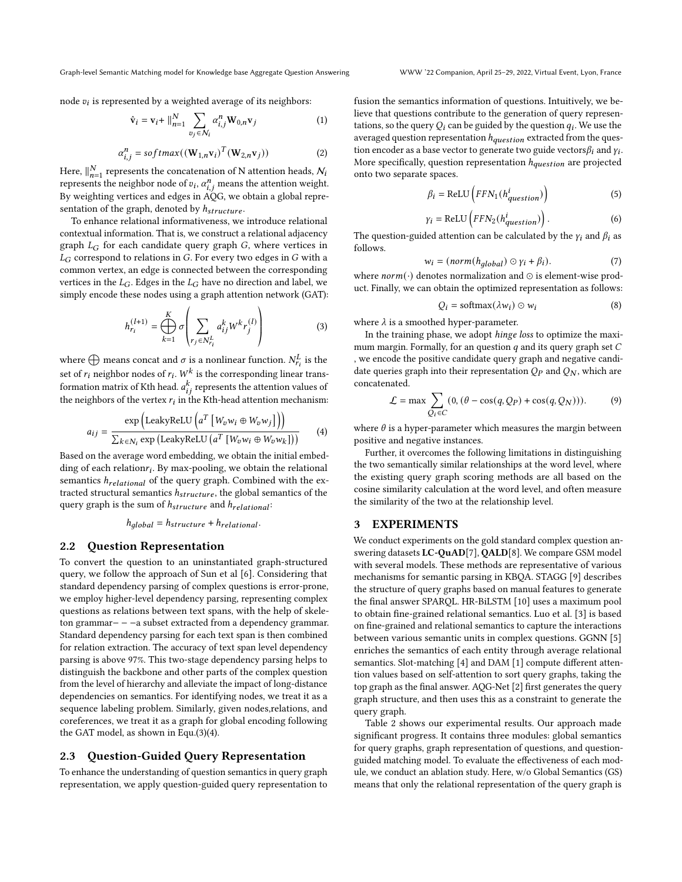Graph-level Semantic Matching model for Knowledge base Aggregate Question Answering WWW '22 Companion, April 25–29, 2022, Virtual Event, Lyon, France

node  $v_i$  is represented by a weighted average of its neighbors:

$$
\hat{\mathbf{v}}_i = \mathbf{v}_i + ||_{n=1}^N \sum_{v_j \in \mathcal{N}_i} \alpha_{i,j}^n \mathbf{W}_{0,n} \mathbf{v}_j
$$
 (1)

$$
\alpha_{i,j}^n = softmax((\mathbf{W}_{1,n}\mathbf{v}_i)^T(\mathbf{W}_{2,n}\mathbf{v}_j))
$$
 (2)

Here,  $\big\|_{n=1}^N$  represents the concatenation of N attention heads,  $\mathcal{N}_i$ represents the neighbor node of  $v_i$ ,  $\alpha_{i,j}^n$  means the attention weight. By weighting vertices and edges in AQG, we obtain a global representation of the graph, denoted by  $h_{structure}$ .

To enhance relational informativeness, we introduce relational contextual information. That is, we construct a relational adjacency graph  $L_G$  for each candidate query graph  $G$ , where vertices in  $L_G$  correspond to relations in  $G$ . For every two edges in  $G$  with a common vertex, an edge is connected between the corresponding vertices in the  $L_G$ . Edges in the  $L_G$  have no direction and label, we simply encode these nodes using a graph attention network (GAT):

<span id="page-2-0"></span>
$$
h_{r_i}^{(l+1)} = \bigoplus_{k=1}^K \sigma \left( \sum_{r_j \in N_{r_i}^L} a_{ij}^k W^k r_j^{(l)} \right)
$$
 (3)

where  $\bigoplus$  means concat and  $\sigma$  is a nonlinear function.  $N_{r_i}^L$  is the set of  $r_i$  neighbor nodes of  $r_i$ .  $W^k$  is the corresponding linear transformation matrix of Kth head.  $a_{ij}^k$  represents the attention values of the neighbors of the vertex  $r_i$  in the Kth-head attention mechanism:

<span id="page-2-1"></span>
$$
a_{ij} = \frac{\exp \left( \text{LeakyReLU} \left( a^T \left[ W_v w_i \oplus W_v w_j \right] \right) \right)}{\sum_{k \in N_i} \exp \left( \text{LeakyReLU} \left( a^T \left[ W_v w_i \oplus W_v w_k \right] \right) \right)}
$$
(4)

Based on the average word embedding, we obtain the initial embedding of each relation $r_i$ . By max-pooling, we obtain the relational semantics  $h_{relational}$  of the query graph. Combined with the extracted structural semantics  $h_{structure}$ , the global semantics of the query graph is the sum of  $h_{structure}$  and  $h_{relational}$ :

$$
h_{global} = h_{structure} + h_{relational}.
$$

### 2.2 Question Representation

To convert the question to an uninstantiated graph-structured query, we follow the approach of Sun et al [\[6\]](#page-3-4). Considering that standard dependency parsing of complex questions is error-prone, we employ higher-level dependency parsing, representing complex questions as relations between text spans, with the help of skeleton grammar− − −a subset extracted from a dependency grammar. Standard dependency parsing for each text span is then combined for relation extraction. The accuracy of text span level dependency parsing is above 97%. This two-stage dependency parsing helps to distinguish the backbone and other parts of the complex question from the level of hierarchy and alleviate the impact of long-distance dependencies on semantics. For identifying nodes, we treat it as a sequence labeling problem. Similarly, given nodes,relations, and coreferences, we treat it as a graph for global encoding following the GAT model, as shown in Equ.[\(3\)](#page-2-0)[\(4\)](#page-2-1).

### 2.3 Question-Guided Query Representation

To enhance the understanding of question semantics in query graph representation, we apply question-guided query representation to fusion the semantics information of questions. Intuitively, we believe that questions contribute to the generation of query representations, so the query  $Q_i$  can be guided by the question  $q_i$ . We use the averaged question representation  $h_{question}$  extracted from the question encoder as a base vector to generate two guide vectors $\beta_i$  and  $\gamma_i$ . More specifically, question representation  $h_{question}$  are projected onto two separate spaces.

$$
\beta_i = \text{ReLU}\left(FFN_1(h_{question}^i)\right) \tag{5}
$$

$$
\gamma_i = \text{ReLU}\left(FFN_2(h_{question}^i)\right). \tag{6}
$$

The question-guided attention can be calculated by the  $y_i$  and  $\beta_i$  as follows.

$$
w_i = (norm(h_{global}) \odot \gamma_i + \beta_i). \tag{7}
$$

where  $norm(\cdot)$  denotes normalization and ⊙ is element-wise product. Finally, we can obtain the optimized representation as follows:

$$
Q_i = \text{softmax}(\lambda w_i) \odot w_i \tag{8}
$$

where  $\lambda$  is a smoothed hyper-parameter.

In the training phase, we adopt hinge loss to optimize the maximum margin. Formally, for an question  $q$  and its query graph set  $C$ , we encode the positive candidate query graph and negative candidate queries graph into their representation  $Q_P$  and  $Q_N$ , which are concatenated.

$$
\mathcal{L} = \max \sum_{Q_i \in C} (0, (\theta - \cos(q, Q_P) + \cos(q, Q_N))).
$$
 (9)

where  $\theta$  is a hyper-parameter which measures the margin between positive and negative instances.

Further, it overcomes the following limitations in distinguishing the two semantically similar relationships at the word level, where the existing query graph scoring methods are all based on the cosine similarity calculation at the word level, and often measure the similarity of the two at the relationship level.

### 3 EXPERIMENTS

We conduct experiments on the gold standard complex question answering datasets LC-QuAD[\[7\]](#page-3-5), QALD[\[8\]](#page-3-6). We compare GSM model with several models. These methods are representative of various mechanisms for semantic parsing in KBQA. STAGG [\[9\]](#page-3-7) describes the structure of query graphs based on manual features to generate the final answer SPARQL. HR-BiLSTM [\[10\]](#page-3-8) uses a maximum pool to obtain fine-grained relational semantics. Luo et al. [\[3\]](#page-3-1) is based on fine-grained and relational semantics to capture the interactions between various semantic units in complex questions. GGNN [\[5\]](#page-3-9) enriches the semantics of each entity through average relational semantics. Slot-matching [\[4\]](#page-3-2) and DAM [\[1\]](#page-3-10) compute different attention values based on self-attention to sort query graphs, taking the top graph as the final answer. AQG-Net [\[2\]](#page-3-3) first generates the query graph structure, and then uses this as a constraint to generate the query graph.

Table [2](#page-3-11) shows our experimental results. Our approach made significant progress. It contains three modules: global semantics for query graphs, graph representation of questions, and questionguided matching model. To evaluate the effectiveness of each module, we conduct an ablation study. Here, w/o Global Semantics (GS) means that only the relational representation of the query graph is